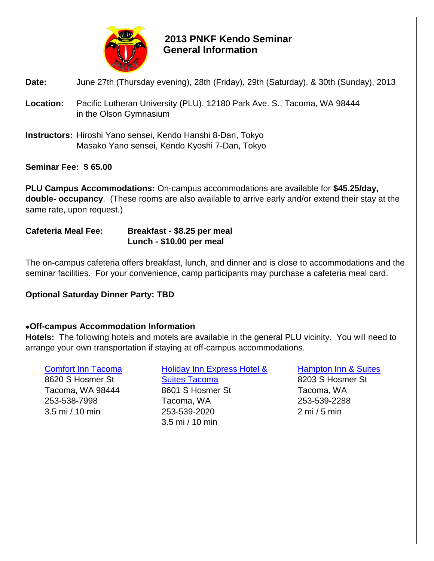

# **2013 PNKF Kendo Seminar General Information**

### **Date:** June 27th (Thursday evening), 28th (Friday), 29th (Saturday), & 30th (Sunday), 2013

- **Location:** Pacific Lutheran University (PLU), 12180 Park Ave. S., Tacoma, WA 98444 in the Olson Gymnasium
- **Instructors:** Hiroshi Yano sensei, Kendo Hanshi 8-Dan, Tokyo Masako Yano sensei, Kendo Kyoshi 7-Dan, Tokyo

### **Seminar Fee: \$ 65.00**

**PLU Campus Accommodations:** On-campus accommodations are available for **\$45.25/day, double- occupancy**. (These rooms are also available to arrive early and/or extend their stay at the same rate, upon request.)

#### **Cafeteria Meal Fee: Breakfast - \$8.25 per meal Lunch - \$10.00 per meal**

The on-campus cafeteria offers breakfast, lunch, and dinner and is close to accommodations and the seminar facilities. For your convenience, camp participants may purchase a cafeteria meal card.

## **Optional Saturday Dinner Party: TBD**

## **●Off-campus Accommodation Information**

**Hotels:** The following hotels and motels are available in the general PLU vicinity. You will need to arrange your own transportation if staying at off-campus accommodations.

[Comfort Inn Tacoma](http://www.comfortinn.com/hotel-tacoma-washington-WA087) 8620 S Hosmer St Tacoma, WA 98444 253-538-7998 3.5 mi / 10 min

[Holiday Inn Express Hotel &](http://www.hiexpress.com/h/d/ex/1/en/hotel/tacwa?&cm_mmc=mdpr-_-googlemaps-_-ex-_-tacwa&dp=true)  [Suites Tacoma](http://www.hiexpress.com/h/d/ex/1/en/hotel/tacwa?&cm_mmc=mdpr-_-googlemaps-_-ex-_-tacwa&dp=true) 8601 S Hosmer St Tacoma, WA 253-539-2020 3.5 mi / 10 min

[Hampton Inn & Suites](http://hamptoninn.hilton.com/en/hp/hotels/index.jhtml?ctyhocn=SEAHXHX) 8203 S Hosmer St Tacoma, WA 253-539-2288 2 mi / 5 min